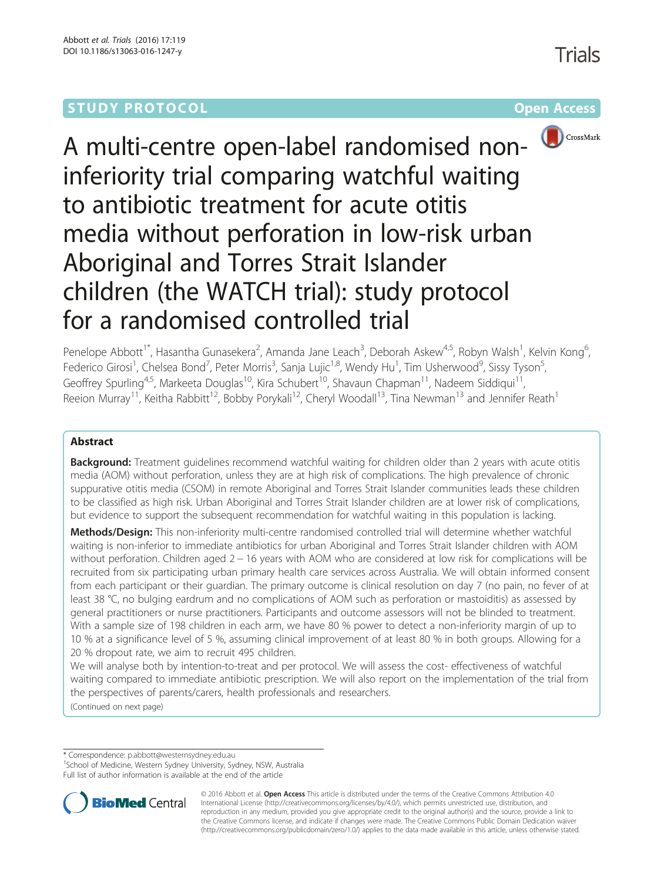# **STUDY PROTOCOL CONSUMING THE RESERVE ACCESS**



# A multi-centre open-label randomised noninferiority trial comparing watchful waiting to antibiotic treatment for acute otitis media without perforation in low-risk urban Aboriginal and Torres Strait Islander children (the WATCH trial): study protocol for a randomised controlled trial

Penelope Abbott<sup>1\*</sup>, Hasantha Gunasekera<sup>2</sup>, Amanda Jane Leach<sup>3</sup>, Deborah Askew<sup>4,5</sup>, Robyn Walsh<sup>1</sup>, Kelvin Kong<sup>6</sup> , Federico Girosi<sup>1</sup>, Chelsea Bond<sup>7</sup>, Peter Morris<sup>3</sup>, Sanja Lujic<sup>1,8</sup>, Wendy Hu<sup>1</sup>, Tim Usherwood<sup>9</sup>, Sissy Tyson<sup>5</sup> , Geoffrey Spurling<sup>4,5</sup>, Markeeta Douglas<sup>10</sup>, Kira Schubert<sup>10</sup>, Shavaun Chapman<sup>11</sup>, Nadeem Siddiqui<sup>11</sup>, Reeion Murray<sup>11</sup>, Keitha Rabbitt<sup>12</sup>, Bobby Porykali<sup>12</sup>, Cheryl Woodall<sup>13</sup>, Tina Newman<sup>13</sup> and Jennifer Reath<sup>1</sup>

# Abstract

Background: Treatment guidelines recommend watchful waiting for children older than 2 years with acute otitis media (AOM) without perforation, unless they are at high risk of complications. The high prevalence of chronic suppurative otitis media (CSOM) in remote Aboriginal and Torres Strait Islander communities leads these children to be classified as high risk. Urban Aboriginal and Torres Strait Islander children are at lower risk of complications, but evidence to support the subsequent recommendation for watchful waiting in this population is lacking.

Methods/Design: This non-inferiority multi-centre randomised controlled trial will determine whether watchful waiting is non-inferior to immediate antibiotics for urban Aboriginal and Torres Strait Islander children with AOM without perforation. Children aged 2 − 16 years with AOM who are considered at low risk for complications will be recruited from six participating urban primary health care services across Australia. We will obtain informed consent from each participant or their guardian. The primary outcome is clinical resolution on day 7 (no pain, no fever of at least 38 °C, no bulging eardrum and no complications of AOM such as perforation or mastoiditis) as assessed by general practitioners or nurse practitioners. Participants and outcome assessors will not be blinded to treatment. With a sample size of 198 children in each arm, we have 80 % power to detect a non-inferiority margin of up to 10 % at a significance level of 5 %, assuming clinical improvement of at least 80 % in both groups. Allowing for a 20 % dropout rate, we aim to recruit 495 children.

We will analyse both by intention-to-treat and per protocol. We will assess the cost- effectiveness of watchful waiting compared to immediate antibiotic prescription. We will also report on the implementation of the trial from the perspectives of parents/carers, health professionals and researchers.

(Continued on next page)

\* Correspondence: [p.abbott@westernsydney.edu.au](mailto:p.abbott@westernsydney.edu.au) <sup>1</sup>

Full list of author information is available at the end of the article



© 2016 Abbott et al. Open Access This article is distributed under the terms of the Creative Commons Attribution 4.0 International License [\(http://creativecommons.org/licenses/by/4.0/](http://creativecommons.org/licenses/by/4.0/)), which permits unrestricted use, distribution, and reproduction in any medium, provided you give appropriate credit to the original author(s) and the source, provide a link to the Creative Commons license, and indicate if changes were made. The Creative Commons Public Domain Dedication waiver [\(http://creativecommons.org/publicdomain/zero/1.0/](http://creativecommons.org/publicdomain/zero/1.0/)) applies to the data made available in this article, unless otherwise stated.

<sup>&</sup>lt;sup>1</sup>School of Medicine, Western Sydney University, Sydney, NSW, Australia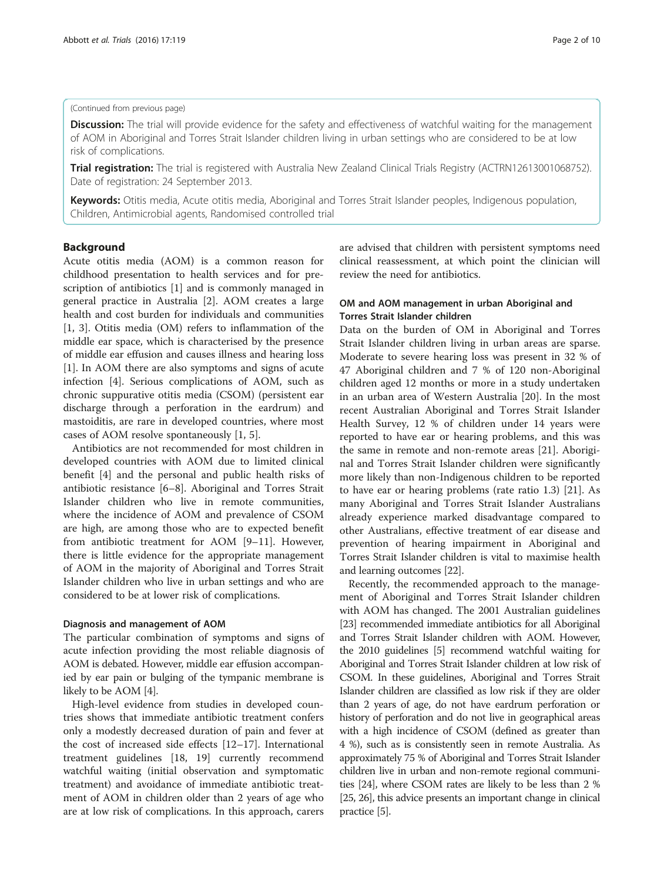# (Continued from previous page)

**Discussion:** The trial will provide evidence for the safety and effectiveness of watchful waiting for the management of AOM in Aboriginal and Torres Strait Islander children living in urban settings who are considered to be at low risk of complications.

Trial registration: The trial is registered with Australia New Zealand Clinical Trials Registry ([ACTRN12613001068752](https://www.anzctr.org.au/Trial/Registration/TrialReview.aspx?id=365023&isReview=true)). Date of registration: 24 September 2013.

Keywords: Otitis media, Acute otitis media, Aboriginal and Torres Strait Islander peoples, Indigenous population, Children, Antimicrobial agents, Randomised controlled trial

### Background

Acute otitis media (AOM) is a common reason for childhood presentation to health services and for prescription of antibiotics [\[1](#page-8-0)] and is commonly managed in general practice in Australia [\[2](#page-8-0)]. AOM creates a large health and cost burden for individuals and communities [[1, 3\]](#page-8-0). Otitis media (OM) refers to inflammation of the middle ear space, which is characterised by the presence of middle ear effusion and causes illness and hearing loss [[1\]](#page-8-0). In AOM there are also symptoms and signs of acute infection [\[4](#page-8-0)]. Serious complications of AOM, such as chronic suppurative otitis media (CSOM) (persistent ear discharge through a perforation in the eardrum) and mastoiditis, are rare in developed countries, where most cases of AOM resolve spontaneously [[1, 5\]](#page-8-0).

Antibiotics are not recommended for most children in developed countries with AOM due to limited clinical benefit [\[4](#page-8-0)] and the personal and public health risks of antibiotic resistance [\[6](#page-8-0)–[8\]](#page-8-0). Aboriginal and Torres Strait Islander children who live in remote communities, where the incidence of AOM and prevalence of CSOM are high, are among those who are to expected benefit from antibiotic treatment for AOM [\[9](#page-8-0)–[11\]](#page-8-0). However, there is little evidence for the appropriate management of AOM in the majority of Aboriginal and Torres Strait Islander children who live in urban settings and who are considered to be at lower risk of complications.

#### Diagnosis and management of AOM

The particular combination of symptoms and signs of acute infection providing the most reliable diagnosis of AOM is debated. However, middle ear effusion accompanied by ear pain or bulging of the tympanic membrane is likely to be AOM [\[4\]](#page-8-0).

High-level evidence from studies in developed countries shows that immediate antibiotic treatment confers only a modestly decreased duration of pain and fever at the cost of increased side effects [[12](#page-8-0)–[17](#page-8-0)]. International treatment guidelines [\[18](#page-8-0), [19\]](#page-8-0) currently recommend watchful waiting (initial observation and symptomatic treatment) and avoidance of immediate antibiotic treatment of AOM in children older than 2 years of age who are at low risk of complications. In this approach, carers are advised that children with persistent symptoms need clinical reassessment, at which point the clinician will review the need for antibiotics.

# OM and AOM management in urban Aboriginal and Torres Strait Islander children

Data on the burden of OM in Aboriginal and Torres Strait Islander children living in urban areas are sparse. Moderate to severe hearing loss was present in 32 % of 47 Aboriginal children and 7 % of 120 non-Aboriginal children aged 12 months or more in a study undertaken in an urban area of Western Australia [[20\]](#page-8-0). In the most recent Australian Aboriginal and Torres Strait Islander Health Survey, 12 % of children under 14 years were reported to have ear or hearing problems, and this was the same in remote and non-remote areas [[21\]](#page-8-0). Aboriginal and Torres Strait Islander children were significantly more likely than non-Indigenous children to be reported to have ear or hearing problems (rate ratio 1.3) [\[21\]](#page-8-0). As many Aboriginal and Torres Strait Islander Australians already experience marked disadvantage compared to other Australians, effective treatment of ear disease and prevention of hearing impairment in Aboriginal and Torres Strait Islander children is vital to maximise health and learning outcomes [\[22](#page-8-0)].

Recently, the recommended approach to the management of Aboriginal and Torres Strait Islander children with AOM has changed. The 2001 Australian guidelines [[23](#page-8-0)] recommended immediate antibiotics for all Aboriginal and Torres Strait Islander children with AOM. However, the 2010 guidelines [[5\]](#page-8-0) recommend watchful waiting for Aboriginal and Torres Strait Islander children at low risk of CSOM. In these guidelines, Aboriginal and Torres Strait Islander children are classified as low risk if they are older than 2 years of age, do not have eardrum perforation or history of perforation and do not live in geographical areas with a high incidence of CSOM (defined as greater than 4 %), such as is consistently seen in remote Australia. As approximately 75 % of Aboriginal and Torres Strait Islander children live in urban and non-remote regional communities [\[24\]](#page-8-0), where CSOM rates are likely to be less than 2 % [[25](#page-8-0), [26](#page-8-0)], this advice presents an important change in clinical practice [\[5\]](#page-8-0).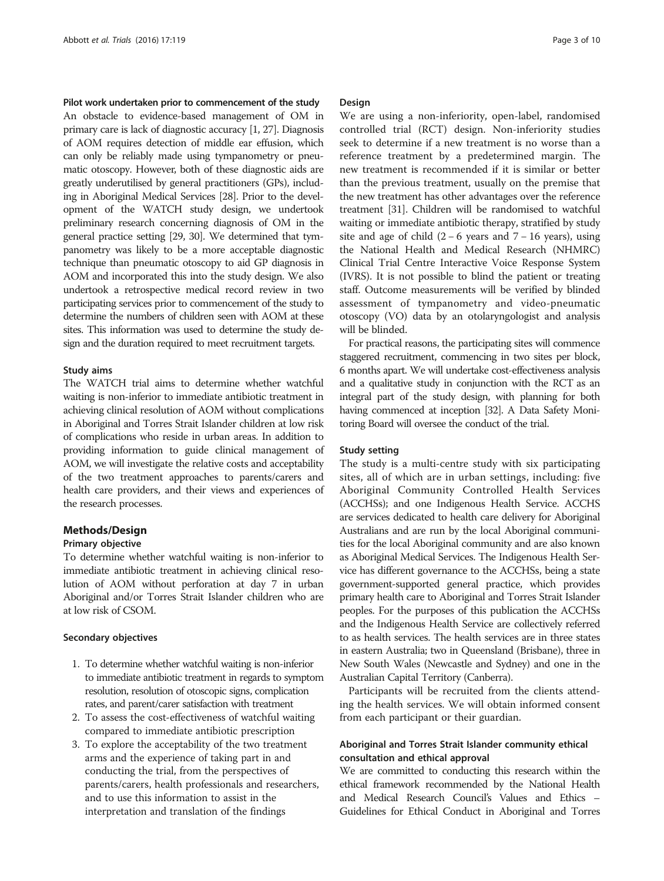Pilot work undertaken prior to commencement of the study

An obstacle to evidence-based management of OM in primary care is lack of diagnostic accuracy [[1](#page-8-0), [27](#page-8-0)]. Diagnosis of AOM requires detection of middle ear effusion, which can only be reliably made using tympanometry or pneumatic otoscopy. However, both of these diagnostic aids are greatly underutilised by general practitioners (GPs), including in Aboriginal Medical Services [[28\]](#page-8-0). Prior to the development of the WATCH study design, we undertook preliminary research concerning diagnosis of OM in the general practice setting [[29](#page-8-0), [30](#page-8-0)]. We determined that tympanometry was likely to be a more acceptable diagnostic technique than pneumatic otoscopy to aid GP diagnosis in AOM and incorporated this into the study design. We also undertook a retrospective medical record review in two participating services prior to commencement of the study to determine the numbers of children seen with AOM at these sites. This information was used to determine the study design and the duration required to meet recruitment targets.

#### Study aims

The WATCH trial aims to determine whether watchful waiting is non-inferior to immediate antibiotic treatment in achieving clinical resolution of AOM without complications in Aboriginal and Torres Strait Islander children at low risk of complications who reside in urban areas. In addition to providing information to guide clinical management of AOM, we will investigate the relative costs and acceptability of the two treatment approaches to parents/carers and health care providers, and their views and experiences of the research processes.

#### Methods/Design

#### Primary objective

To determine whether watchful waiting is non-inferior to immediate antibiotic treatment in achieving clinical resolution of AOM without perforation at day 7 in urban Aboriginal and/or Torres Strait Islander children who are at low risk of CSOM.

#### Secondary objectives

- 1. To determine whether watchful waiting is non-inferior to immediate antibiotic treatment in regards to symptom resolution, resolution of otoscopic signs, complication rates, and parent/carer satisfaction with treatment
- 2. To assess the cost-effectiveness of watchful waiting compared to immediate antibiotic prescription
- 3. To explore the acceptability of the two treatment arms and the experience of taking part in and conducting the trial, from the perspectives of parents/carers, health professionals and researchers, and to use this information to assist in the interpretation and translation of the findings

#### Design

We are using a non-inferiority, open-label, randomised controlled trial (RCT) design. Non-inferiority studies seek to determine if a new treatment is no worse than a reference treatment by a predetermined margin. The new treatment is recommended if it is similar or better than the previous treatment, usually on the premise that the new treatment has other advantages over the reference treatment [\[31\]](#page-8-0). Children will be randomised to watchful waiting or immediate antibiotic therapy, stratified by study site and age of child  $(2 - 6$  years and  $7 - 16$  years), using the National Health and Medical Research (NHMRC) Clinical Trial Centre Interactive Voice Response System (IVRS). It is not possible to blind the patient or treating staff. Outcome measurements will be verified by blinded assessment of tympanometry and video-pneumatic otoscopy (VO) data by an otolaryngologist and analysis will be blinded.

For practical reasons, the participating sites will commence staggered recruitment, commencing in two sites per block, 6 months apart. We will undertake cost-effectiveness analysis and a qualitative study in conjunction with the RCT as an integral part of the study design, with planning for both having commenced at inception [[32\]](#page-8-0). A Data Safety Monitoring Board will oversee the conduct of the trial.

#### Study setting

The study is a multi-centre study with six participating sites, all of which are in urban settings, including: five Aboriginal Community Controlled Health Services (ACCHSs); and one Indigenous Health Service. ACCHS are services dedicated to health care delivery for Aboriginal Australians and are run by the local Aboriginal communities for the local Aboriginal community and are also known as Aboriginal Medical Services. The Indigenous Health Service has different governance to the ACCHSs, being a state government-supported general practice, which provides primary health care to Aboriginal and Torres Strait Islander peoples. For the purposes of this publication the ACCHSs and the Indigenous Health Service are collectively referred to as health services. The health services are in three states in eastern Australia; two in Queensland (Brisbane), three in New South Wales (Newcastle and Sydney) and one in the Australian Capital Territory (Canberra).

Participants will be recruited from the clients attending the health services. We will obtain informed consent from each participant or their guardian.

# Aboriginal and Torres Strait Islander community ethical consultation and ethical approval

We are committed to conducting this research within the ethical framework recommended by the National Health and Medical Research Council's Values and Ethics – Guidelines for Ethical Conduct in Aboriginal and Torres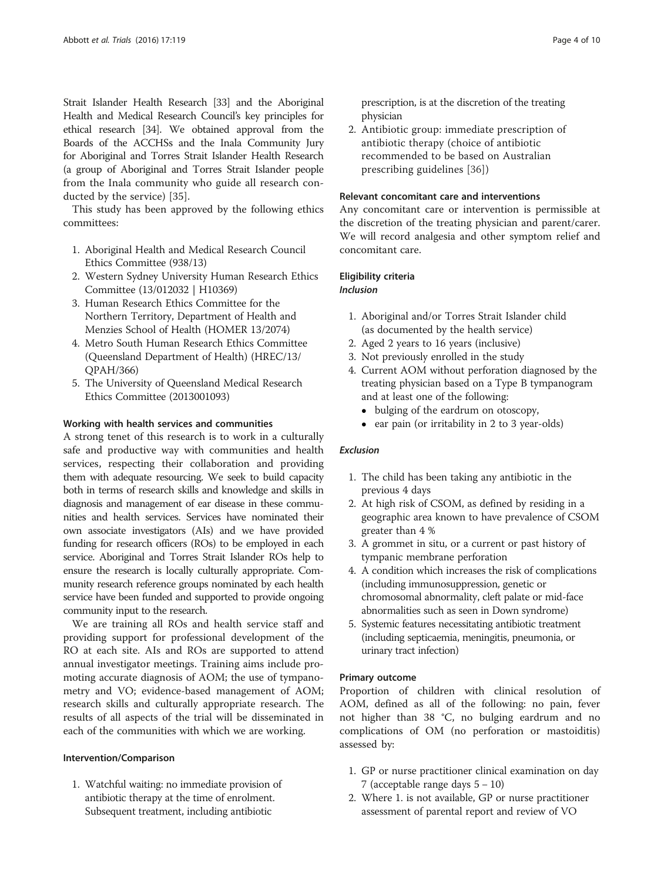Strait Islander Health Research [\[33\]](#page-8-0) and the Aboriginal Health and Medical Research Council's key principles for ethical research [[34](#page-8-0)]. We obtained approval from the Boards of the ACCHSs and the Inala Community Jury for Aboriginal and Torres Strait Islander Health Research (a group of Aboriginal and Torres Strait Islander people from the Inala community who guide all research conducted by the service) [[35\]](#page-8-0).

This study has been approved by the following ethics committees:

- 1. Aboriginal Health and Medical Research Council Ethics Committee (938/13)
- 2. Western Sydney University Human Research Ethics Committee (13/012032 | H10369)
- 3. Human Research Ethics Committee for the Northern Territory, Department of Health and Menzies School of Health (HOMER 13/2074)
- 4. Metro South Human Research Ethics Committee (Queensland Department of Health) (HREC/13/ QPAH/366)
- 5. The University of Queensland Medical Research Ethics Committee (2013001093)

# Working with health services and communities

A strong tenet of this research is to work in a culturally safe and productive way with communities and health services, respecting their collaboration and providing them with adequate resourcing. We seek to build capacity both in terms of research skills and knowledge and skills in diagnosis and management of ear disease in these communities and health services. Services have nominated their own associate investigators (AIs) and we have provided funding for research officers (ROs) to be employed in each service. Aboriginal and Torres Strait Islander ROs help to ensure the research is locally culturally appropriate. Community research reference groups nominated by each health service have been funded and supported to provide ongoing community input to the research.

We are training all ROs and health service staff and providing support for professional development of the RO at each site. AIs and ROs are supported to attend annual investigator meetings. Training aims include promoting accurate diagnosis of AOM; the use of tympanometry and VO; evidence-based management of AOM; research skills and culturally appropriate research. The results of all aspects of the trial will be disseminated in each of the communities with which we are working.

# Intervention/Comparison

1. Watchful waiting: no immediate provision of antibiotic therapy at the time of enrolment. Subsequent treatment, including antibiotic

prescription, is at the discretion of the treating physician

2. Antibiotic group: immediate prescription of antibiotic therapy (choice of antibiotic recommended to be based on Australian prescribing guidelines [[36](#page-8-0)])

#### Relevant concomitant care and interventions

Any concomitant care or intervention is permissible at the discretion of the treating physician and parent/carer. We will record analgesia and other symptom relief and concomitant care.

# Eligibility criteria

#### Inclusion

- 1. Aboriginal and/or Torres Strait Islander child (as documented by the health service)
- 2. Aged 2 years to 16 years (inclusive)
- 3. Not previously enrolled in the study
- 4. Current AOM without perforation diagnosed by the treating physician based on a Type B tympanogram and at least one of the following:
	- bulging of the eardrum on otoscopy,
	- ear pain (or irritability in 2 to 3 year-olds)

#### Exclusion

- 1. The child has been taking any antibiotic in the previous 4 days
- 2. At high risk of CSOM, as defined by residing in a geographic area known to have prevalence of CSOM greater than 4 %
- 3. A grommet in situ, or a current or past history of tympanic membrane perforation
- 4. A condition which increases the risk of complications (including immunosuppression, genetic or chromosomal abnormality, cleft palate or mid-face abnormalities such as seen in Down syndrome)
- 5. Systemic features necessitating antibiotic treatment (including septicaemia, meningitis, pneumonia, or urinary tract infection)

#### Primary outcome

Proportion of children with clinical resolution of AOM, defined as all of the following: no pain, fever not higher than 38 °C, no bulging eardrum and no complications of OM (no perforation or mastoiditis) assessed by:

- 1. GP or nurse practitioner clinical examination on day 7 (acceptable range days 5 − 10)
- 2. Where 1. is not available, GP or nurse practitioner assessment of parental report and review of VO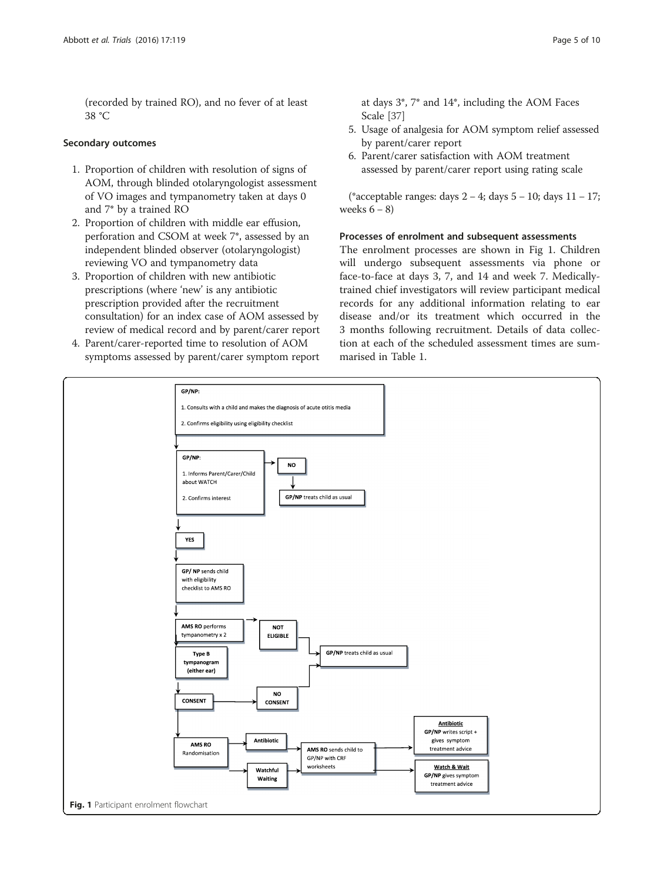(recorded by trained RO), and no fever of at least 38 °C

#### Secondary outcomes

- 1. Proportion of children with resolution of signs of AOM, through blinded otolaryngologist assessment of VO images and tympanometry taken at days 0 and 7\* by a trained RO
- 2. Proportion of children with middle ear effusion, perforation and CSOM at week 7\*, assessed by an independent blinded observer (otolaryngologist) reviewing VO and tympanometry data
- 3. Proportion of children with new antibiotic prescriptions (where 'new' is any antibiotic prescription provided after the recruitment consultation) for an index case of AOM assessed by review of medical record and by parent/carer report
- 4. Parent/carer-reported time to resolution of AOM symptoms assessed by parent/carer symptom report
- 5. Usage of analgesia for AOM symptom relief assessed by parent/carer report
- 6. Parent/carer satisfaction with AOM treatment assessed by parent/carer report using rating scale

(\*acceptable ranges: days 2 − 4; days 5 − 10; days 11 − 17; weeks  $6 - 8$ )

# Processes of enrolment and subsequent assessments

The enrolment processes are shown in Fig 1. Children will undergo subsequent assessments via phone or face-to-face at days 3, 7, and 14 and week 7. Medicallytrained chief investigators will review participant medical records for any additional information relating to ear disease and/or its treatment which occurred in the 3 months following recruitment. Details of data collection at each of the scheduled assessment times are summarised in Table [1.](#page-5-0)

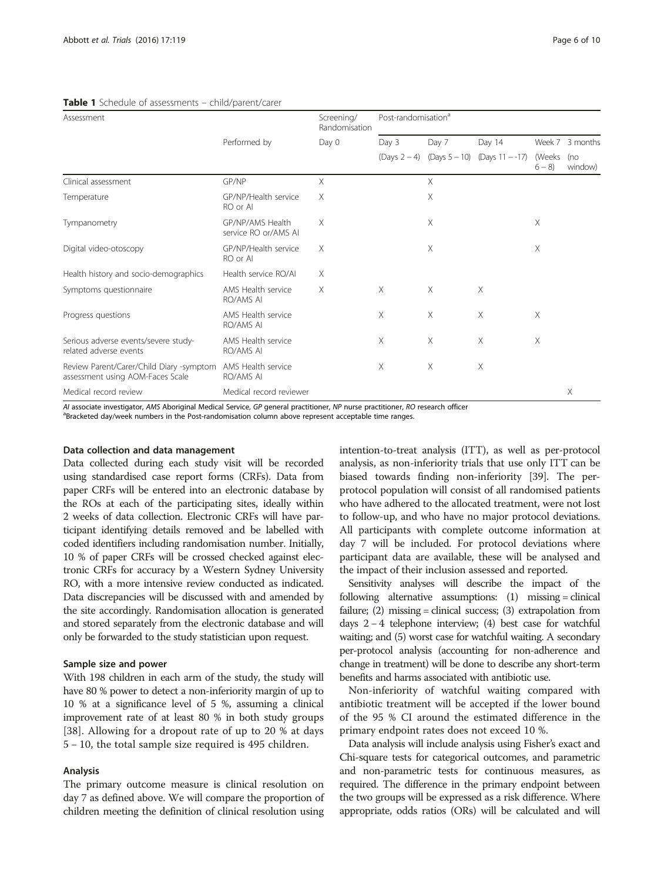| Assessment                                                                   | Performed by                             | Screening/<br>Randomisation<br>Day 0 | Post-randomisation <sup>a</sup> |                           |                              |                   |                                   |
|------------------------------------------------------------------------------|------------------------------------------|--------------------------------------|---------------------------------|---------------------------|------------------------------|-------------------|-----------------------------------|
|                                                                              |                                          |                                      | Day 3<br>(Days $2-4$ )          | Day 7<br>(Days $5 - 10$ ) | Day 14<br>(Days $11 - -17$ ) | (Weeks<br>$6 - 8$ | Week 7 3 months<br>(no<br>window) |
|                                                                              |                                          |                                      |                                 |                           |                              |                   |                                   |
| Temperature                                                                  | GP/NP/Health service<br>RO or Al         | X                                    |                                 | Χ                         |                              |                   |                                   |
| Tympanometry                                                                 | GP/NP/AMS Health<br>service RO or/AMS AI | Χ                                    |                                 | X                         |                              | $\times$          |                                   |
| Digital video-otoscopy                                                       | GP/NP/Health service<br>RO or Al         | X                                    |                                 | X                         |                              | X                 |                                   |
| Health history and socio-demographics                                        | Health service RO/AI                     | X                                    |                                 |                           |                              |                   |                                   |
| Symptoms questionnaire                                                       | AMS Health service<br>RO/AMS AI          | X                                    | X                               | X                         | X                            |                   |                                   |
| Progress questions                                                           | AMS Health service<br>RO/AMS AI          |                                      | X                               | $\times$                  | X                            | $\times$          |                                   |
| Serious adverse events/severe study-<br>related adverse events               | AMS Health service<br>RO/AMS AI          |                                      | X                               | $\times$                  | X                            | $\times$          |                                   |
| Review Parent/Carer/Child Diary -symptom<br>assessment using AOM-Faces Scale | AMS Health service<br>RO/AMS AI          |                                      | X                               | $\times$                  | X                            |                   |                                   |
| Medical record review                                                        | Medical record reviewer                  |                                      |                                 |                           |                              |                   | $\times$                          |

#### <span id="page-5-0"></span>Table 1 Schedule of assessments - child/parent/carer

AI associate investigator, AMS Aboriginal Medical Service, GP general practitioner, NP nurse practitioner, RO research officer <sup>a</sup>Bracketed day/week numbers in the Post-randomisation column above represent acceptable time ranges.

#### Data collection and data management

Data collected during each study visit will be recorded using standardised case report forms (CRFs). Data from paper CRFs will be entered into an electronic database by the ROs at each of the participating sites, ideally within 2 weeks of data collection. Electronic CRFs will have participant identifying details removed and be labelled with coded identifiers including randomisation number. Initially, 10 % of paper CRFs will be crossed checked against electronic CRFs for accuracy by a Western Sydney University RO, with a more intensive review conducted as indicated. Data discrepancies will be discussed with and amended by the site accordingly. Randomisation allocation is generated and stored separately from the electronic database and will only be forwarded to the study statistician upon request.

#### Sample size and power

With 198 children in each arm of the study, the study will have 80 % power to detect a non-inferiority margin of up to 10 % at a significance level of 5 %, assuming a clinical improvement rate of at least 80 % in both study groups [[38\]](#page-8-0). Allowing for a dropout rate of up to 20 % at days 5 − 10, the total sample size required is 495 children.

#### Analysis

The primary outcome measure is clinical resolution on day 7 as defined above. We will compare the proportion of children meeting the definition of clinical resolution using intention-to-treat analysis (ITT), as well as per-protocol analysis, as non-inferiority trials that use only ITT can be biased towards finding non-inferiority [[39](#page-9-0)]. The perprotocol population will consist of all randomised patients who have adhered to the allocated treatment, were not lost to follow-up, and who have no major protocol deviations. All participants with complete outcome information at day 7 will be included. For protocol deviations where participant data are available, these will be analysed and the impact of their inclusion assessed and reported.

Sensitivity analyses will describe the impact of the following alternative assumptions: (1) missing = clinical failure; (2) missing = clinical success; (3) extrapolation from days 2 − 4 telephone interview; (4) best case for watchful waiting; and (5) worst case for watchful waiting. A secondary per-protocol analysis (accounting for non-adherence and change in treatment) will be done to describe any short-term benefits and harms associated with antibiotic use.

Non-inferiority of watchful waiting compared with antibiotic treatment will be accepted if the lower bound of the 95 % CI around the estimated difference in the primary endpoint rates does not exceed 10 %.

Data analysis will include analysis using Fisher's exact and Chi-square tests for categorical outcomes, and parametric and non-parametric tests for continuous measures, as required. The difference in the primary endpoint between the two groups will be expressed as a risk difference. Where appropriate, odds ratios (ORs) will be calculated and will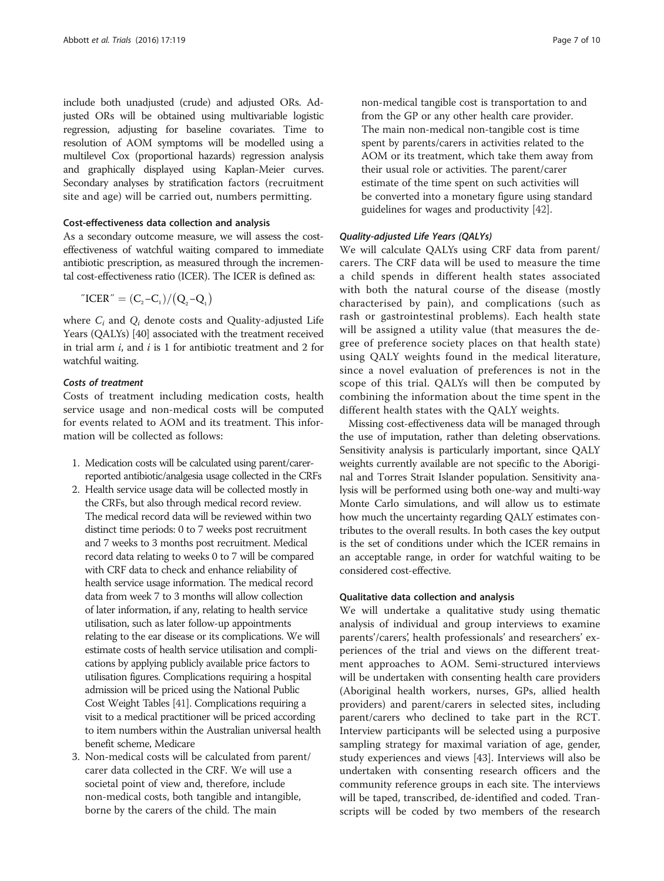include both unadjusted (crude) and adjusted ORs. Adjusted ORs will be obtained using multivariable logistic regression, adjusting for baseline covariates. Time to resolution of AOM symptoms will be modelled using a multilevel Cox (proportional hazards) regression analysis and graphically displayed using Kaplan-Meier curves. Secondary analyses by stratification factors (recruitment site and age) will be carried out, numbers permitting.

# Cost-effectiveness data collection and analysis

As a secondary outcome measure, we will assess the costeffectiveness of watchful waiting compared to immediate antibiotic prescription, as measured through the incremental cost-effectiveness ratio (ICER). The ICER is defined as:

"ICER" = 
$$
(C_2 - C_1) / (Q_2 - Q_1)
$$

where  $C_i$  and  $Q_i$  denote costs and Quality-adjusted Life Years (QALYs) [[40](#page-9-0)] associated with the treatment received in trial arm  $i$ , and  $i$  is 1 for antibiotic treatment and 2 for watchful waiting.

### Costs of treatment

Costs of treatment including medication costs, health service usage and non-medical costs will be computed for events related to AOM and its treatment. This information will be collected as follows:

- 1. Medication costs will be calculated using parent/carerreported antibiotic/analgesia usage collected in the CRFs
- 2. Health service usage data will be collected mostly in the CRFs, but also through medical record review. The medical record data will be reviewed within two distinct time periods: 0 to 7 weeks post recruitment and 7 weeks to 3 months post recruitment. Medical record data relating to weeks 0 to 7 will be compared with CRF data to check and enhance reliability of health service usage information. The medical record data from week 7 to 3 months will allow collection of later information, if any, relating to health service utilisation, such as later follow-up appointments relating to the ear disease or its complications. We will estimate costs of health service utilisation and complications by applying publicly available price factors to utilisation figures. Complications requiring a hospital admission will be priced using the National Public Cost Weight Tables [[41\]](#page-9-0). Complications requiring a visit to a medical practitioner will be priced according to item numbers within the Australian universal health benefit scheme, Medicare
- 3. Non-medical costs will be calculated from parent/ carer data collected in the CRF. We will use a societal point of view and, therefore, include non-medical costs, both tangible and intangible, borne by the carers of the child. The main

non-medical tangible cost is transportation to and from the GP or any other health care provider. The main non-medical non-tangible cost is time spent by parents/carers in activities related to the AOM or its treatment, which take them away from their usual role or activities. The parent/carer estimate of the time spent on such activities will be converted into a monetary figure using standard guidelines for wages and productivity [[42](#page-9-0)].

#### Quality-adjusted Life Years (QALYs)

We will calculate QALYs using CRF data from parent/ carers. The CRF data will be used to measure the time a child spends in different health states associated with both the natural course of the disease (mostly characterised by pain), and complications (such as rash or gastrointestinal problems). Each health state will be assigned a utility value (that measures the degree of preference society places on that health state) using QALY weights found in the medical literature, since a novel evaluation of preferences is not in the scope of this trial. QALYs will then be computed by combining the information about the time spent in the different health states with the QALY weights.

Missing cost-effectiveness data will be managed through the use of imputation, rather than deleting observations. Sensitivity analysis is particularly important, since QALY weights currently available are not specific to the Aboriginal and Torres Strait Islander population. Sensitivity analysis will be performed using both one-way and multi-way Monte Carlo simulations, and will allow us to estimate how much the uncertainty regarding QALY estimates contributes to the overall results. In both cases the key output is the set of conditions under which the ICER remains in an acceptable range, in order for watchful waiting to be considered cost-effective.

## Qualitative data collection and analysis

We will undertake a qualitative study using thematic analysis of individual and group interviews to examine parents'/carers', health professionals' and researchers' experiences of the trial and views on the different treatment approaches to AOM. Semi-structured interviews will be undertaken with consenting health care providers (Aboriginal health workers, nurses, GPs, allied health providers) and parent/carers in selected sites, including parent/carers who declined to take part in the RCT. Interview participants will be selected using a purposive sampling strategy for maximal variation of age, gender, study experiences and views [[43\]](#page-9-0). Interviews will also be undertaken with consenting research officers and the community reference groups in each site. The interviews will be taped, transcribed, de-identified and coded. Transcripts will be coded by two members of the research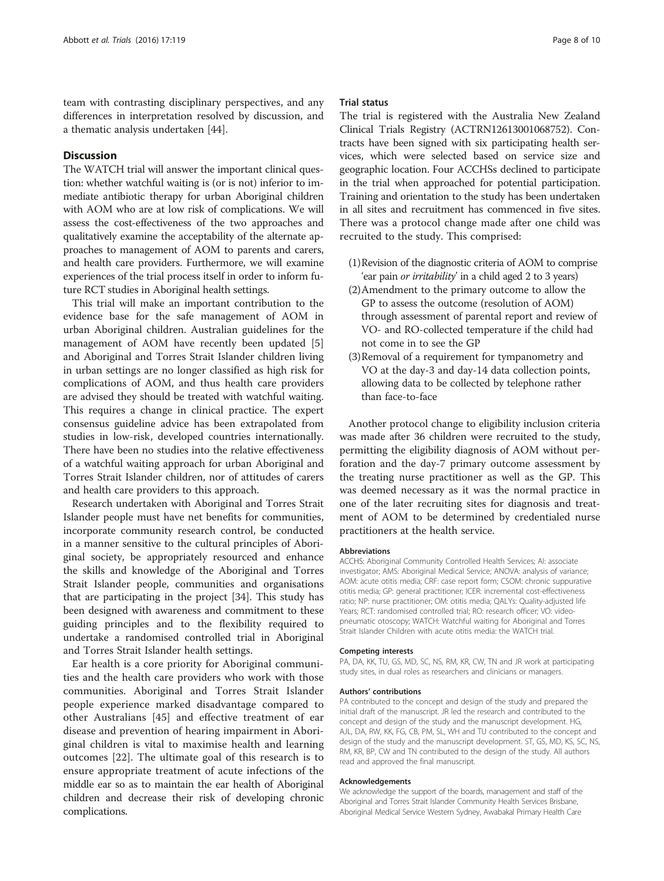team with contrasting disciplinary perspectives, and any differences in interpretation resolved by discussion, and a thematic analysis undertaken [\[44](#page-9-0)].

# **Discussion**

The WATCH trial will answer the important clinical question: whether watchful waiting is (or is not) inferior to immediate antibiotic therapy for urban Aboriginal children with AOM who are at low risk of complications. We will assess the cost-effectiveness of the two approaches and qualitatively examine the acceptability of the alternate approaches to management of AOM to parents and carers, and health care providers. Furthermore, we will examine experiences of the trial process itself in order to inform future RCT studies in Aboriginal health settings.

This trial will make an important contribution to the evidence base for the safe management of AOM in urban Aboriginal children. Australian guidelines for the management of AOM have recently been updated [\[5](#page-8-0)] and Aboriginal and Torres Strait Islander children living in urban settings are no longer classified as high risk for complications of AOM, and thus health care providers are advised they should be treated with watchful waiting. This requires a change in clinical practice. The expert consensus guideline advice has been extrapolated from studies in low-risk, developed countries internationally. There have been no studies into the relative effectiveness of a watchful waiting approach for urban Aboriginal and Torres Strait Islander children, nor of attitudes of carers and health care providers to this approach.

Research undertaken with Aboriginal and Torres Strait Islander people must have net benefits for communities, incorporate community research control, be conducted in a manner sensitive to the cultural principles of Aboriginal society, be appropriately resourced and enhance the skills and knowledge of the Aboriginal and Torres Strait Islander people, communities and organisations that are participating in the project [[34\]](#page-8-0). This study has been designed with awareness and commitment to these guiding principles and to the flexibility required to undertake a randomised controlled trial in Aboriginal and Torres Strait Islander health settings.

Ear health is a core priority for Aboriginal communities and the health care providers who work with those communities. Aboriginal and Torres Strait Islander people experience marked disadvantage compared to other Australians [[45\]](#page-9-0) and effective treatment of ear disease and prevention of hearing impairment in Aboriginal children is vital to maximise health and learning outcomes [[22\]](#page-8-0). The ultimate goal of this research is to ensure appropriate treatment of acute infections of the middle ear so as to maintain the ear health of Aboriginal children and decrease their risk of developing chronic complications.

#### Trial status

The trial is registered with the Australia New Zealand Clinical Trials Registry (ACTRN12613001068752). Contracts have been signed with six participating health services, which were selected based on service size and geographic location. Four ACCHSs declined to participate in the trial when approached for potential participation. Training and orientation to the study has been undertaken in all sites and recruitment has commenced in five sites. There was a protocol change made after one child was recruited to the study. This comprised:

- (1)Revision of the diagnostic criteria of AOM to comprise 'ear pain or irritability' in a child aged 2 to 3 years)
- (2)Amendment to the primary outcome to allow the GP to assess the outcome (resolution of AOM) through assessment of parental report and review of VO- and RO-collected temperature if the child had not come in to see the GP
- (3)Removal of a requirement for tympanometry and VO at the day-3 and day-14 data collection points, allowing data to be collected by telephone rather than face-to-face

Another protocol change to eligibility inclusion criteria was made after 36 children were recruited to the study, permitting the eligibility diagnosis of AOM without perforation and the day-7 primary outcome assessment by the treating nurse practitioner as well as the GP. This was deemed necessary as it was the normal practice in one of the later recruiting sites for diagnosis and treatment of AOM to be determined by credentialed nurse practitioners at the health service.

#### **Abbreviations**

ACCHS: Aboriginal Community Controlled Health Services; AI: associate investigator; AMS: Aboriginal Medical Service; ANOVA: analysis of variance; AOM: acute otitis media; CRF: case report form; CSOM: chronic suppurative otitis media; GP: general practitioner; ICER: incremental cost-effectiveness ratio; NP: nurse practitioner; OM: otitis media; QALYs: Quality-adjusted life Years; RCT: randomised controlled trial; RO: research officer; VO: videopneumatic otoscopy; WATCH: Watchful waiting for Aboriginal and Torres Strait Islander Children with acute otitis media: the WATCH trial.

#### Competing interests

PA, DA, KK, TU, GS, MD, SC, NS, RM, KR, CW, TN and JR work at participating study sites, in dual roles as researchers and clinicians or managers.

#### Authors' contributions

PA contributed to the concept and design of the study and prepared the initial draft of the manuscript. JR led the research and contributed to the concept and design of the study and the manuscript development. HG, AJL, DA, RW, KK, FG, CB, PM, SL, WH and TU contributed to the concept and design of the study and the manuscript development. ST, GS, MD, KS, SC, NS, RM, KR, BP, CW and TN contributed to the design of the study. All authors read and approved the final manuscript.

#### Acknowledgements

We acknowledge the support of the boards, management and staff of the Aboriginal and Torres Strait Islander Community Health Services Brisbane, Aboriginal Medical Service Western Sydney, Awabakal Primary Health Care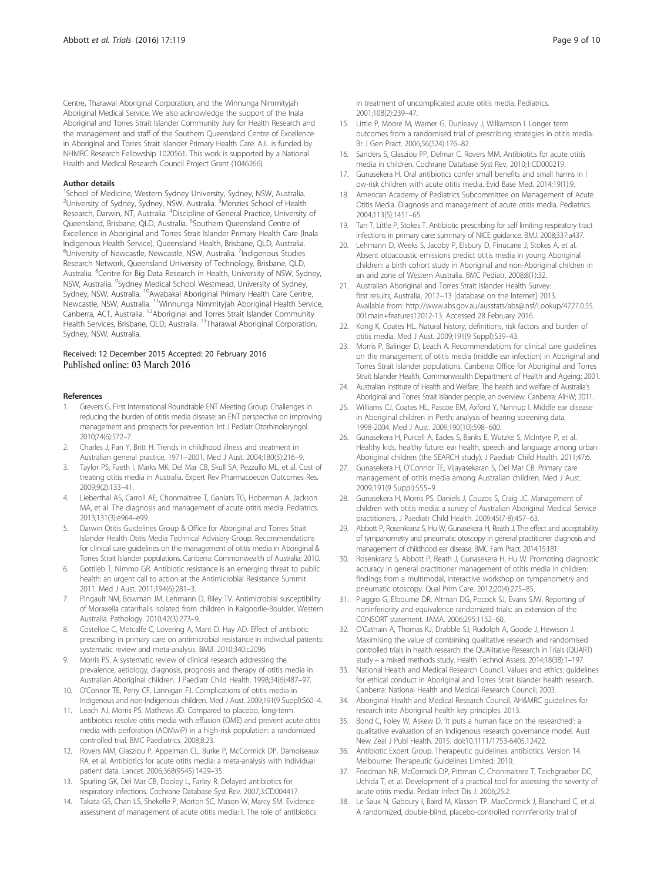<span id="page-8-0"></span>Centre, Tharawal Aboriginal Corporation, and the Winnunga Nimmityjah Aboriginal Medical Service. We also acknowledge the support of the Inala Aboriginal and Torres Strait Islander Community Jury for Health Research and the management and staff of the Southern Queensland Centre of Excellence in Aboriginal and Torres Strait Islander Primary Health Care. AJL is funded by NHMRC Research Fellowship 1020561. This work is supported by a National Health and Medical Research Council Project Grant (1046266).

#### Author details

<sup>1</sup>School of Medicine, Western Sydney University, Sydney, NSW, Australia. <sup>2</sup>University of Sydney, Sydney, NSW, Australia. <sup>3</sup>Menzies School of Health Research, Darwin, NT, Australia. <sup>4</sup>Discipline of General Practice, University of Queensland, Brisbane, QLD, Australia. <sup>5</sup>Southern Queensland Centre of Excellence in Aboriginal and Torres Strait Islander Primary Health Care (Inala Indigenous Health Service), Queensland Health, Brisbane, QLD, Australia. <sup>6</sup>University of Newcastle, Newcastle, NSW, Australia. <sup>7</sup>Indigenous Studies Research Network, Queensland University of Technology, Brisbane, QLD, Australia. <sup>8</sup>Centre for Big Data Research in Health, University of NSW, Sydney, NSW, Australia. <sup>9</sup>Sydney Medical School Westmead, University of Sydney, Sydney, NSW, Australia. <sup>10</sup>Awabakal Aboriginal Primary Health Care Centre, Newcastle, NSW, Australia. 11Winnunga Nimmityjah Aboriginal Health Service, Canberra, ACT, Australia. 12Aboriginal and Torres Strait Islander Community Health Services, Brisbane, QLD, Australia. <sup>13</sup>Tharawal Aboriginal Corporation, Sydney, NSW, Australia.

#### Received: 12 December 2015 Accepted: 20 February 2016 Published online: 03 March 2016

#### References

- 1. Grevers G, First International Roundtable ENT Meeting Group. Challenges in reducing the burden of otitis media disease: an ENT perspective on improving management and prospects for prevention. Int J Pediatr Otorhinolaryngol. 2010;74(6):572–7.
- 2. Charles J, Pan Y, Britt H. Trends in childhood illness and treatment in Australian general practice, 1971−2001. Med J Aust. 2004;180(5):216–9.
- Taylor PS, Faeth I, Marks MK, Del Mar CB, Skull SA, Pezzullo ML, et al. Cost of treating otitis media in Australia. Expert Rev Pharmacoecon Outcomes Res. 2009;9(2):133–41.
- 4. Lieberthal AS, Carroll AE, Chonmaitree T, Ganiats TG, Hoberman A, Jackson MA, et al. The diagnosis and management of acute otitis media. Pediatrics. 2013;131(3):e964–e99.
- Darwin Otitis Guidelines Group & Office for Aboriginal and Torres Strait Islander Health Otitis Media Technical Advisory Group. Recommendations for clinical care guidelines on the management of otitis media in Aboriginal & Torres Strait Islander populations. Canberra: Commonwealth of Australia; 2010.
- 6. Gottlieb T, Nimmo GR. Antibiotic resistance is an emerging threat to public health: an urgent call to action at the Antimicrobial Resistance Summit 2011. Med J Aust. 2011;194(6):281–3.
- 7. Pingault NM, Bowman JM, Lehmann D, Riley TV. Antimicrobial susceptibility of Moraxella catarrhalis isolated from children in Kalgoorlie-Boulder, Western Australia. Pathology. 2010;42(3):273–9.
- 8. Costelloe C, Metcalfe C, Lovering A, Mant D. Hay AD. Effect of antibiotic prescribing in primary care on antimicrobial resistance in individual patients: systematic review and meta-analysis. BMJl. 2010;340:c2096.
- 9. Morris PS. A systematic review of clinical research addressing the prevalence, aetiology, diagnosis, prognosis and therapy of otitis media in Australian Aboriginal children. J Paediatr Child Health. 1998;34(6):487–97.
- 10. O'Connor TE, Perry CF, Lannigan FJ. Complications of otitis media in Indigenous and non-Indigenous children. Med J Aust. 2009;191(9 Suppl):S60–4.
- 11. Leach AJ, Morris PS, Mathews JD. Compared to placebo, long-term antibiotics resolve otitis media with effusion (OME) and prevent acute otitis media with perforation (AOMwiP) in a high-risk population: a randomized controlled trial. BMC Paediatrics. 2008;8:23.
- 12. Rovers MM, Glasziou P, Appelman CL, Burke P, McCormick DP, Damoiseaux RA, et al. Antibiotics for acute otitis media: a meta-analysis with individual patient data. Lancet. 2006;368(9545):1429–35.
- 13. Spurling GK, Del Mar CB, Dooley L, Farley R. Delayed antibiotics for respiratory infections. Cochrane Database Syst Rev. 2007;3:CD004417.
- 14. Takata GS, Chan LS, Shekelle P, Morton SC, Mason W, Marcy SM. Evidence assessment of management of acute otitis media: I. The role of antibiotics

in treatment of uncomplicated acute otitis media. Pediatrics. 2001;108(2):239–47.

- 15. Little P, Moore M, Warner G, Dunleavy J, Williamson I. Longer term outcomes from a randomised trial of prescribing strategies in otitis media. Br J Gen Pract. 2006;56(524):176–82.
- 16. Sanders S, Glasziou PP, Delmar C, Rovers MM. Antibiotics for acute otitis media in children. Cochrane Database Syst Rev. 2010;1:CD000219.
- 17. Gunasekera H. Oral antibiotics confer small benefits and small harms in l ow-risk children with acute otitis media. Evid Base Med. 2014;19(1):9.
- 18. American Academy of Pediatrics Subcommittee on Management of Acute Otitis Media. Diagnosis and management of acute otitis media. Pediatrics. 2004;113(5):1451–65.
- 19. Tan T, Little P, Stokes T. Antibiotic prescribing for self limiting respiratory tract infections in primary care: summary of NICE guidance. BMJ. 2008;337:a437.
- 20. Lehmann D, Weeks S, Jacoby P, Elsbury D, Finucane J, Stokes A, et al. Absent otoacoustic emissions predict otitis media in young Aboriginal children: a birth cohort study in Aboriginal and non-Aboriginal children in an arid zone of Western Australia. BMC Pediatr. 2008;8(1):32.
- 21. Australian Aboriginal and Torres Strait Islander Health Survey: first results, Australia, 2012−13 [database on the Internet] 2013. Available from: [http://www.abs.gov.au/ausstats/abs@.nsf/Lookup/4727.0.55.](http://www.abs.gov.au/ausstats/abs@.nsf/Lookup/4727.0.55.001main+features802012-13) [001main+features12012-13.](http://www.abs.gov.au/ausstats/abs@.nsf/Lookup/4727.0.55.001main+features802012-13) Accessed 28 February 2016.
- 22. Kong K, Coates HL. Natural history, definitions, risk factors and burden of otitis media. Med J Aust. 2009;191(9 Suppl):S39–43.
- 23. Morris P, Balinger D, Leach A. Recommendations for clinical care guidelines on the management of otitis media (middle ear infection) in Aboriginal and Torres Strait Islander populations. Canberra: Office for Aboriginal and Torres Strait Islander Health, Commonwealth Department of Health and Ageing; 2001.
- 24. Australian Institute of Health and Welfare. The health and welfare of Australia's Aboriginal and Torres Strait Islander people, an overview. Canberra: AIHW; 2011.
- 25. Williams CJ, Coates HL, Pascoe EM, Axford Y, Nannup I. Middle ear disease in Aboriginal children in Perth: analysis of hearing screening data, 1998-2004. Med J Aust. 2009;190(10):598–600.
- 26. Gunasekera H, Purcell A, Eades S, Banks E, Wutzke S, McIntyre P, et al. Healthy kids, healthy future: ear health, speech and language among urban Aboriginal children (the SEARCH study). J Paediatr Child Health. 2011;47:6.
- 27. Gunasekera H, O'Connor TE, Vijayasekaran S, Del Mar CB. Primary care management of otitis media among Australian children. Med J Aust. 2009;191(9 Suppl):S55–9.
- 28. Gunasekera H, Morris PS, Daniels J, Couzos S, Craig JC. Management of children with otitis media: a survey of Australian Aboriginal Medical Service practitioners. J Paediatr Child Health. 2009;45(7-8):457–63.
- Abbott P, Rosenkranz S, Hu W, Gunasekera H, Reath J. The effect and acceptability of tympanometry and pneumatic otoscopy in general practitioner diagnosis and management of childhood ear disease. BMC Fam Pract. 2014;15:181.
- 30. Rosenkranz S, Abbott P, Reath J, Gunasekera H, Hu W. Promoting diagnostic accuracy in general practitioner management of otitis media in children: findings from a multimodal, interactive workshop on tympanometry and pneumatic otoscopy. Qual Prim Care. 2012;20(4):275–85.
- 31. Piaggio G, Elbourne DR, Altman DG, Pocock SJ, Evans SJW. Reporting of noninferiority and equivalence randomized trials: an extension of the CONSORT statement. JAMA. 2006;295:1152–60.
- 32. O'Cathain A, Thomas KJ, Drabble SJ, Rudolph A, Goode J, Hewison J. Maximising the value of combining qualitative research and randomised controlled trials in health research: the QUAlitative Research in Trials (QUART) study − a mixed methods study. Health Technol Assess. 2014;18(38):1–197.
- 33. National Health and Medical Research Council. Values and ethics: guidelines for ethical conduct in Aboriginal and Torres Strait Islander health research. Canberra: National Health and Medical Research Council; 2003.
- 34. Aboriginal Health and Medical Research Council. AH&MRC guidelines for research into Aboriginal health key principles. 2013.
- 35. Bond C, Foley W, Askew D. 'It puts a human face on the researched': a qualitative evaluation of an Indigenous research governance model. Aust New Zeal J Publ Health. 2015. doi[:10.1111/1753-6405.12422](http://dx.doi.org/10.1111/1753-6405.12422).
- 36. Antibiotic Expert Group. Therapeutic guidelines: antibiotics. Version 14. Melbourne: Therapeutic Guidelines Limited; 2010.
- 37. Friedman NR, McCormick DP, Pittman C, Chonmaitree T, Teichgraeber DC, Uchida T, et al. Development of a practical tool for assessing the severity of acute otitis media. Pediatr Infect Dis J. 2006;25:2.
- 38. Le Saux N, Gaboury I, Baird M, Klassen TP, MacCormick J, Blanchard C, et al. A randomized, double-blind, placebo-controlled noninferiority trial of